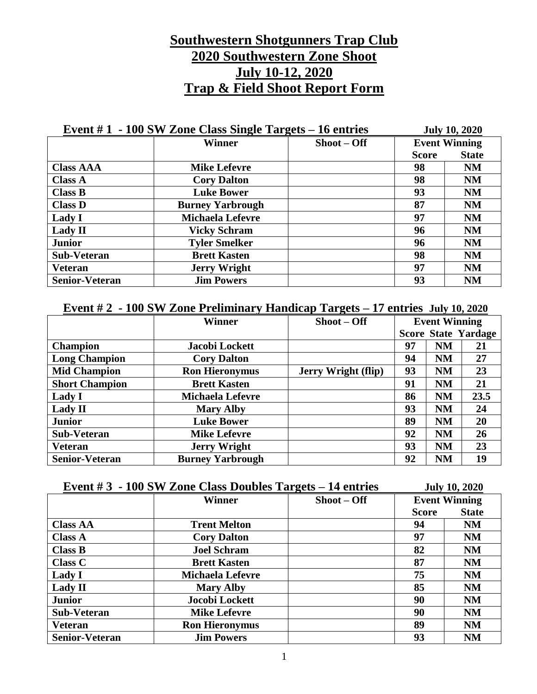# **Southwestern Shotgunners Trap Club 2020 Southwestern Zone Shoot July 10-12, 2020 Trap & Field Shoot Report Form**

| Event $#1 - 100$ SW Zone Class Single Targets $-16$ entries |                         |              | <b>July 10, 2020</b> |              |
|-------------------------------------------------------------|-------------------------|--------------|----------------------|--------------|
|                                                             | <b>Winner</b>           | $Show - Off$ | <b>Event Winning</b> |              |
|                                                             |                         |              | <b>Score</b>         | <b>State</b> |
| <b>Class AAA</b>                                            | <b>Mike Lefevre</b>     |              | 98                   | <b>NM</b>    |
| <b>Class A</b>                                              | <b>Cory Dalton</b>      |              | 98                   | <b>NM</b>    |
| <b>Class B</b>                                              | <b>Luke Bower</b>       |              | 93                   | <b>NM</b>    |
| <b>Class D</b>                                              | <b>Burney Yarbrough</b> |              | 87                   | <b>NM</b>    |
| Lady I                                                      | <b>Michaela Lefevre</b> |              | 97                   | <b>NM</b>    |
| <b>Lady II</b>                                              | <b>Vicky Schram</b>     |              | 96                   | <b>NM</b>    |
| <b>Junior</b>                                               | <b>Tyler Smelker</b>    |              | 96                   | <b>NM</b>    |
| Sub-Veteran                                                 | <b>Brett Kasten</b>     |              | 98                   | <b>NM</b>    |
| <b>Veteran</b>                                              | <b>Jerry Wright</b>     |              | 97                   | <b>NM</b>    |
| <b>Senior-Veteran</b>                                       | <b>Jim Powers</b>       |              | 93                   | <b>NM</b>    |

### **Event # 2 - 100 SW Zone Preliminary Handicap Targets – 17 entries July 10, 2020**

|                       | <b>Winner</b>           | $Show - Off$               | <b>Event Winning</b> |           |                            |
|-----------------------|-------------------------|----------------------------|----------------------|-----------|----------------------------|
|                       |                         |                            |                      |           | <b>Score State Yardage</b> |
| <b>Champion</b>       | Jacobi Lockett          |                            | 97                   | <b>NM</b> | 21                         |
| <b>Long Champion</b>  | <b>Cory Dalton</b>      |                            | 94                   | <b>NM</b> | 27                         |
| <b>Mid Champion</b>   | <b>Ron Hieronymus</b>   | <b>Jerry Wright (flip)</b> | 93                   | <b>NM</b> | 23                         |
| <b>Short Champion</b> | <b>Brett Kasten</b>     |                            | 91                   | <b>NM</b> | 21                         |
| Lady I                | <b>Michaela Lefevre</b> |                            | 86                   | <b>NM</b> | 23.5                       |
| <b>Lady II</b>        | <b>Mary Alby</b>        |                            | 93                   | <b>NM</b> | 24                         |
| <b>Junior</b>         | <b>Luke Bower</b>       |                            | 89                   | <b>NM</b> | 20                         |
| <b>Sub-Veteran</b>    | <b>Mike Lefevre</b>     |                            | 92                   | <b>NM</b> | 26                         |
| <b>Veteran</b>        | <b>Jerry Wright</b>     |                            | 93                   | <b>NM</b> | 23                         |
| <b>Senior-Veteran</b> | <b>Burney Yarbrough</b> |                            | 92                   | <b>NM</b> | 19                         |

| Event $#3 - 100$ SW Zone Class Doubles Targets $-14$ entries |                         |              | <b>July 10, 2020</b> |              |
|--------------------------------------------------------------|-------------------------|--------------|----------------------|--------------|
|                                                              | <b>Winner</b>           | $Show - Off$ | <b>Event Winning</b> |              |
|                                                              |                         |              | <b>Score</b>         | <b>State</b> |
| <b>Class AA</b>                                              | <b>Trent Melton</b>     |              | 94                   | <b>NM</b>    |
| <b>Class A</b>                                               | <b>Cory Dalton</b>      |              | 97                   | <b>NM</b>    |
| <b>Class B</b>                                               | <b>Joel Schram</b>      |              | 82                   | <b>NM</b>    |
| <b>Class C</b>                                               | <b>Brett Kasten</b>     |              | 87                   | <b>NM</b>    |
| Lady I                                                       | <b>Michaela Lefevre</b> |              | 75                   | <b>NM</b>    |
| <b>Lady II</b>                                               | <b>Mary Alby</b>        |              | 85                   | <b>NM</b>    |
| <b>Junior</b>                                                | Jocobi Lockett          |              | 90                   | <b>NM</b>    |
| <b>Sub-Veteran</b>                                           | <b>Mike Lefevre</b>     |              | 90                   | <b>NM</b>    |
| <b>Veteran</b>                                               | <b>Ron Hieronymus</b>   |              | 89                   | <b>NM</b>    |
| <b>Senior-Veteran</b>                                        | <b>Jim Powers</b>       |              | 93                   | <b>NM</b>    |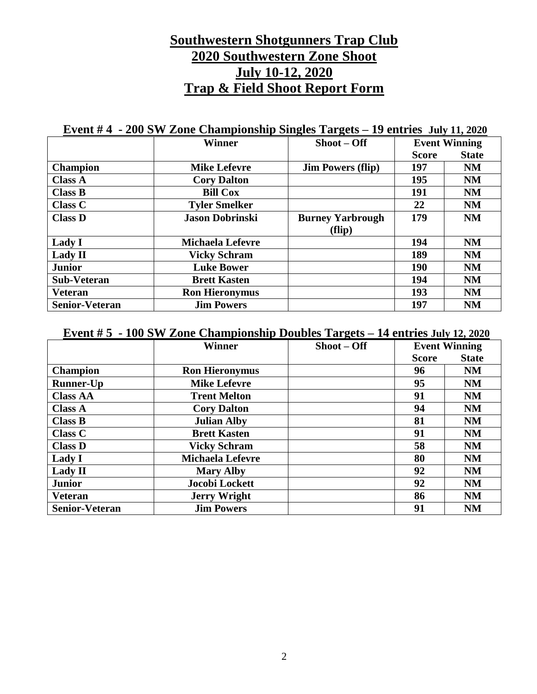# **Southwestern Shotgunners Trap Club 2020 Southwestern Zone Shoot July 10-12, 2020 Trap & Field Shoot Report Form**

### **Event # 4 - 200 SW Zone Championship Singles Targets – 19 entries July 11, 2020**

|                       | <b>Winner</b>           | $Show - Off$             | <b>Event Winning</b> |              |
|-----------------------|-------------------------|--------------------------|----------------------|--------------|
|                       |                         |                          | <b>Score</b>         | <b>State</b> |
| <b>Champion</b>       | <b>Mike Lefevre</b>     | <b>Jim Powers (flip)</b> | 197                  | NM           |
| <b>Class A</b>        | <b>Cory Dalton</b>      |                          | 195                  | <b>NM</b>    |
| <b>Class B</b>        | <b>Bill Cox</b>         |                          | 191                  | NM           |
| <b>Class C</b>        | <b>Tyler Smelker</b>    |                          | 22                   | <b>NM</b>    |
| <b>Class D</b>        | <b>Jason Dobrinski</b>  | <b>Burney Yarbrough</b>  | 179                  | <b>NM</b>    |
|                       |                         | (flip)                   |                      |              |
| Lady I                | <b>Michaela Lefevre</b> |                          | 194                  | <b>NM</b>    |
| <b>Lady II</b>        | <b>Vicky Schram</b>     |                          | 189                  | NM           |
| <b>Junior</b>         | <b>Luke Bower</b>       |                          | <b>190</b>           | NM           |
| <b>Sub-Veteran</b>    | <b>Brett Kasten</b>     |                          | 194                  | <b>NM</b>    |
| <b>Veteran</b>        | <b>Ron Hieronymus</b>   |                          | 193                  | <b>NM</b>    |
| <b>Senior-Veteran</b> | <b>Jim Powers</b>       |                          | 197                  | NM           |

#### **Event # 5 - 100 SW Zone Championship Doubles Targets – 14 entries July 12, 2020**

|                       | <b>Winner</b>           | $Show - Off$ | <b>Event Winning</b> |              |
|-----------------------|-------------------------|--------------|----------------------|--------------|
|                       |                         |              | <b>Score</b>         | <b>State</b> |
| <b>Champion</b>       | <b>Ron Hieronymus</b>   |              | 96                   | <b>NM</b>    |
| <b>Runner-Up</b>      | <b>Mike Lefevre</b>     |              | 95                   | <b>NM</b>    |
| <b>Class AA</b>       | <b>Trent Melton</b>     |              | 91                   | <b>NM</b>    |
| <b>Class A</b>        | <b>Cory Dalton</b>      |              | 94                   | <b>NM</b>    |
| <b>Class B</b>        | <b>Julian Alby</b>      |              | 81                   | <b>NM</b>    |
| <b>Class C</b>        | <b>Brett Kasten</b>     |              | 91                   | <b>NM</b>    |
| <b>Class D</b>        | <b>Vicky Schram</b>     |              | 58                   | <b>NM</b>    |
| Lady I                | <b>Michaela Lefevre</b> |              | 80                   | <b>NM</b>    |
| <b>Lady II</b>        | <b>Mary Alby</b>        |              | 92                   | <b>NM</b>    |
| <b>Junior</b>         | Jocobi Lockett          |              | 92                   | <b>NM</b>    |
| <b>Veteran</b>        | <b>Jerry Wright</b>     |              | 86                   | <b>NM</b>    |
| <b>Senior-Veteran</b> | <b>Jim Powers</b>       |              | 91                   | <b>NM</b>    |